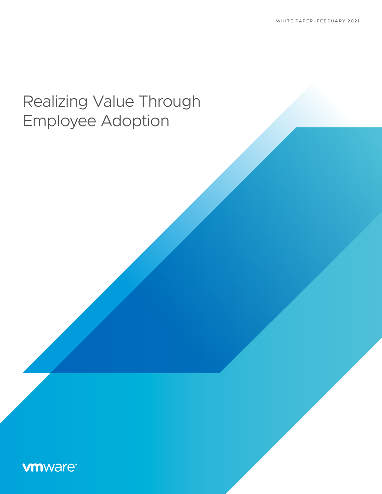# Realizing Value Through Employee Adoption

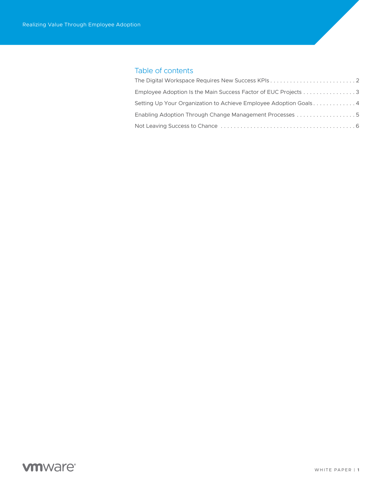# Table of contents

| Employee Adoption Is the Main Success Factor of EUC Projects 3    |  |
|-------------------------------------------------------------------|--|
| Setting Up Your Organization to Achieve Employee Adoption Goals 4 |  |
|                                                                   |  |
|                                                                   |  |

# **vmware®**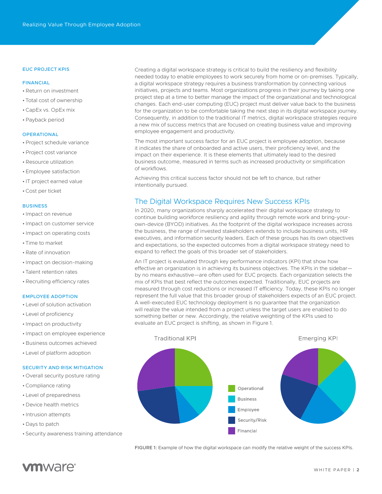### <span id="page-2-0"></span>EUC PROJECT KPIS

### FINANCIAL

- •Return on investment
- Total cost of ownership
- •CapEx vs. OpEx mix
- •Payback period

### **OPERATIONAL**

- •Project schedule variance
- •Project cost variance
- •Resource utilization
- Employee satisfaction
- IT project earned value
- •Cost per ticket

### **BUSINESS**

#### • Impact on revenue

- Impact on customer service
- Impact on operating costs
- Time to market
- •Rate of innovation
- Impact on decision-making
- Talent retention rates
- •Recruiting efficiency rates

### EMPLOYEE ADOPTION

- Level of solution activation
- Level of proficiency
- Impact on productivity
- Impact on employee experience
- Business outcomes achieved
- Level of platform adoption

#### SECURITY AND RISK MITIGATION

- Overall security posture rating
- •Compliance rating
- Level of preparedness
- Device health metrics
- Intrusion attempts
- Days to patch
- Security awareness training attendance

Creating a digital workspace strategy is critical to build the resiliency and flexibility needed today to enable employees to work securely from home or on-premises. Typically, a digital workspace strategy requires a business transformation by connecting various initiatives, projects and teams. Most organizations progress in their journey by taking one project step at a time to better manage the impact of the organizational and technological changes. Each end-user computing (EUC) project must deliver value back to the business for the organization to be comfortable taking the next step in its digital workspace journey. Consequently, in addition to the traditional IT metrics, digital workspace strategies require a new mix of success metrics that are focused on creating business value and improving employee engagement and productivity.

The most important success factor for an EUC project is employee adoption, because it indicates the share of onboarded and active users, their proficiency level, and the impact on their experience. It is these elements that ultimately lead to the desired business outcome, measured in terms such as increased productivity or simplification of workflows.

Achieving this critical success factor should not be left to chance, but rather intentionally pursued.

### The Digital Workspace Requires New Success KPIs

In 2020, many organizations sharply accelerated their digital workspace strategy to continue building workforce resiliency and agility through remote work and bring-yourown-device (BYOD) initiatives. As the footprint of the digital workspace increases across the business, the range of invested stakeholders extends to include business units, HR executives, and information security leaders. Each of these groups has its own objectives and expectations, so the expected outcomes from a digital workspace strategy need to expand to reflect the goals of this broader set of stakeholders.

An IT project is evaluated through key performance indicators (KPI) that show how effective an organization is in achieving its business objectives. The KPIs in the sidebar by no means exhaustive—are often used for EUC projects. Each organization selects the mix of KPIs that best reflect the outcomes expected. Traditionally, EUC projects are measured through cost reductions or increased IT efficiency. Today, these KPIs no longer represent the full value that this broader group of stakeholders expects of an EUC project. A well-executed EUC technology deployment is no guarantee that the organization will realize the value intended from a project unless the target users are enabled to do something better or new. Accordingly, the relative weighting of the KPIs used to evaluate an EUC project is shifting, as shown in Figure 1.



FIGURE 1: Example of how the digital workspace can modify the relative weight of the success KPIs.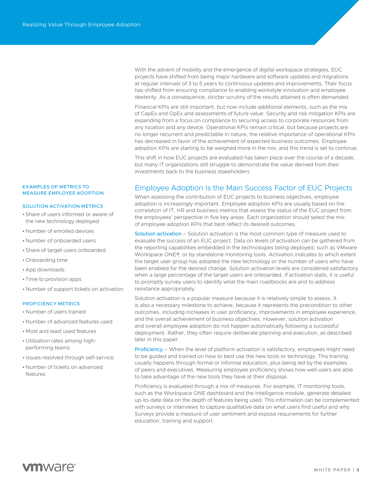EXAMPLES OF METRICS TO MEASURE EMPLOYEE ADOPTION

### SOLUTION ACTIVATION METRICS

- Share of users informed or aware of the new technology deployed
- Number of enrolled devices
- Number of onboarded users
- Share of target users onboarded
- Onboarding time
- App downloads
- Time to provision apps
- Number of support tickets on activation

### PROFICIENCY METRICS

- Number of users trained
- Number of advanced features used
- Most and least used features
- Utilization rates among highperforming teams
- Issues resolved through self-service
- Number of tickets on advanced features

<span id="page-3-0"></span>With the advent of mobility and the emergence of digital workspace strategies, EUC projects have shifted from being major hardware and software updates and migrations at regular intervals of 3 to 5 years to continuous updates and improvements. Their focus has shifted from ensuring compliance to enabling workstyle innovation and employee dexterity. As a consequence, stricter scrutiny of the results attained is often demanded.

Financial KPIs are still important, but now include additional elements, such as the mix of CapEx and OpEx and assessments of future value. Security and risk mitigation KPIs are expanding from a focus on compliance to securing access to corporate resources from any location and any device. Operational KPIs remain critical, but because projects are no longer recurrent and predictable in nature, the relative importance of operational KPIs has decreased in favor of the achievement of expected business outcomes. Employee adoption KPIs are starting to be weighed more in the mix, and this trend is set to continue.

This shift in how EUC projects are evaluated has taken place over the course of a decade, but many IT organizations still struggle to demonstrate the value derived from their investments back to the business stakeholders.

### Employee Adoption Is the Main Success Factor of EUC Projects

When assessing the contribution of EUC projects to business objectives, employee adoption is increasingly important. Employee adoption KPIs are usually based on the correlation of IT, HR and business metrics that assess the status of the EUC project from the employees' perspective in five key areas. Each organization should select the mix of employee adoption KPIs that best reflect its desired outcomes.

Solution activation – Solution activation is the most common type of measure used to evaluate the success of an EUC project. Data on levels of activation can be gathered from the reporting capabilities embedded in the technologies being deployed, such as VMware Workspace ONE®, or by standalone monitoring tools. Activation indicates to which extent the target user group has adopted the new technology or the number of users who have been enabled for the desired change. Solution activation levels are considered satisfactory when a large percentage of the target users are onboarded. If activation stalls, it is useful to promptly survey users to identify what the main roadblocks are and to address resistance appropriately.

Solution activation is a popular measure because it is relatively simple to assess. It is also a necessary milestone to achieve, because it represents the precondition to other outcomes, including increases in user proficiency, improvements in employee experience, and the overall achievement of business objectives. However, solution activation and overall employee adoption do not happen automatically following a successful deployment. Rather, they often require deliberate planning and execution, as described later in this paper.

Proficiency – When the level of platform activation is satisfactory, employees might need to be guided and trained on how to best use the new tools or technology. This training usually happens through formal or informal education, plus being led by the examples of peers and executives. Measuring employee proficiency shows how well users are able to take advantage of the new tools they have at their disposal.

Proficiency is evaluated through a mix of measures. For example, IT monitoring tools, such as the Workspace ONE dashboard and the Intelligence module, generate detailed up-to-date data on the depth of features being used. This information can be complemented with surveys or interviews to capture qualitative data on what users find useful and why. Surveys provide a measure of user sentiment and expose requirements for further education, training and support.

# **vm**ware<sup>®</sup>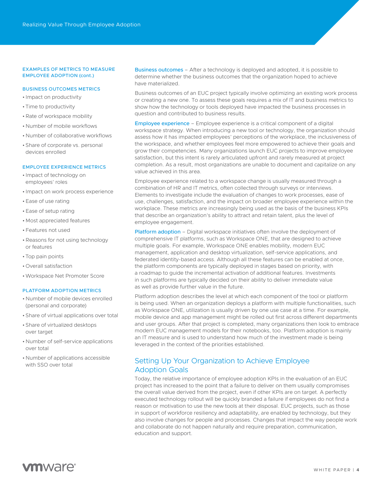### <span id="page-4-0"></span>EXAMPLES OF METRICS TO MEASURE EMPLOYEE ADOPTION (cont.)

### BUSINESS OUTCOMES METRICS

- Impact on productivity
- Time to productivity
- •Rate of workspace mobility
- Number of mobile workflows
- Number of collaborative workflows
- Share of corporate vs. personal devices enrolled

### EMPLOYEE EXPERIENCE METRICS

- Impact of technology on employees' roles
- Impact on work process experience
- Ease of use rating
- Ease of setup rating
- Most appreciated features
- Features not used
- •Reasons for not using technology or features
- Top pain points
- Overall satisfaction
- •Workspace Net Promoter Score

### PLATFORM ADOPTION METRICS

- Number of mobile devices enrolled (personal and corporate)
- Share of virtual applications over total
- Share of virtualized desktops over target
- Number of self-service applications over total
- Number of applications accessible with SSO over total

Business outcomes – After a technology is deployed and adopted, it is possible to determine whether the business outcomes that the organization hoped to achieve have materialized.

Business outcomes of an EUC project typically involve optimizing an existing work process or creating a new one. To assess these goals requires a mix of IT and business metrics to show how the technology or tools deployed have impacted the business processes in question and contributed to business results.

Employee experience – Employee experience is a critical component of a digital workspace strategy. When introducing a new tool or technology, the organization should assess how it has impacted employees' perceptions of the workplace, the inclusiveness of the workspace, and whether employees feel more empowered to achieve their goals and grow their competencies. Many organizations launch EUC projects to improve employee satisfaction, but this intent is rarely articulated upfront and rarely measured at project completion. As a result, most organizations are unable to document and capitalize on any value achieved in this area.

Employee experience related to a workspace change is usually measured through a combination of HR and IT metrics, often collected through surveys or interviews. Elements to investigate include the evaluation of changes to work processes, ease of use, challenges, satisfaction, and the impact on broader employee experience within the workplace. These metrics are increasingly being used as the basis of the business KPIs that describe an organization's ability to attract and retain talent, plus the level of employee engagement.

Platform adoption – Digital workspace initiatives often involve the deployment of comprehensive IT platforms, such as Workspace ONE, that are designed to achieve multiple goals. For example, Workspace ONE enables mobility, modern EUC management, application and desktop virtualization, self-service applications, and federated identity-based access. Although all these features can be enabled at once, the platform components are typically deployed in stages based on priority, with a roadmap to guide the incremental activation of additional features. Investments in such platforms are typically decided on their ability to deliver immediate value as well as provide further value in the future.

Platform adoption describes the level at which each component of the tool or platform is being used. When an organization deploys a platform with multiple functionalities, such as Workspace ONE, utilization is usually driven by one use case at a time. For example, mobile device and app management might be rolled out first across different departments and user groups. After that project is completed, many organizations then look to embrace modern EUC management models for their notebooks, too. Platform adoption is mainly an IT measure and is used to understand how much of the investment made is being leveraged in the context of the priorities established.

## Setting Up Your Organization to Achieve Employee Adoption Goals

Today, the relative importance of employee adoption KPIs in the evaluation of an EUC project has increased to the point that a failure to deliver on them usually compromises the overall value derived from the project, even if other KPIs are on target. A perfectly executed technology rollout will be quickly branded a failure if employees do not find a reason or motivation to use the new tools at their disposal. EUC projects, such as those in support of workforce resiliency and adaptability, are enabled by technology, but they also involve changes for people and processes. Changes that impact the way people work and collaborate do not happen naturally and require preparation, communication, education and support.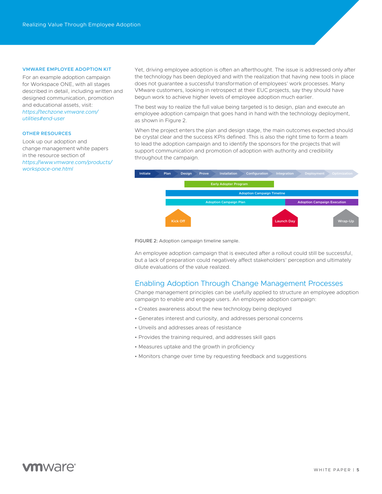#### <span id="page-5-0"></span>VMWARE EMPLOYEE ADOPTION KIT

For an example adoption campaign for Workspace ONE, with all stages described in detail, including written and designed communication, promotion and educational assets, visit: *[https://techzone.vmware.com/](https://techzone.vmware.com/utilities#end-user) [utilities#end-user](https://techzone.vmware.com/utilities#end-user)*

### OTHER RESOURCES

Look up our adoption and change management white papers in the resource section of *[https://www.vmware.com/products/](https://www.vmware.com/products/workspace-one.html) [workspace-one.html](https://www.vmware.com/products/workspace-one.html)*

Yet, driving employee adoption is often an afterthought. The issue is addressed only after the technology has been deployed and with the realization that having new tools in place does not guarantee a successful transformation of employees' work processes. Many VMware customers, looking in retrospect at their EUC projects, say they should have begun work to achieve higher levels of employee adoption much earlier.

The best way to realize the full value being targeted is to design, plan and execute an employee adoption campaign that goes hand in hand with the technology deployment, as shown in Figure 2.

When the project enters the plan and design stage, the main outcomes expected should be crystal clear and the success KPIs defined. This is also the right time to form a team to lead the adoption campaign and to identify the sponsors for the projects that will support communication and promotion of adoption with authority and credibility throughout the campaign.



FIGURE 2: Adoption campaign timeline sample.

An employee adoption campaign that is executed after a rollout could still be successful, but a lack of preparation could negatively affect stakeholders' perception and ultimately dilute evaluations of the value realized.

### Enabling Adoption Through Change Management Processes

Change management principles can be usefully applied to structure an employee adoption campaign to enable and engage users. An employee adoption campaign:

- Creates awareness about the new technology being deployed
- Generates interest and curiosity, and addresses personal concerns
- Unveils and addresses areas of resistance
- Provides the training required, and addresses skill gaps
- Measures uptake and the growth in proficiency
- Monitors change over time by requesting feedback and suggestions

# **vm**ware<sup>®</sup>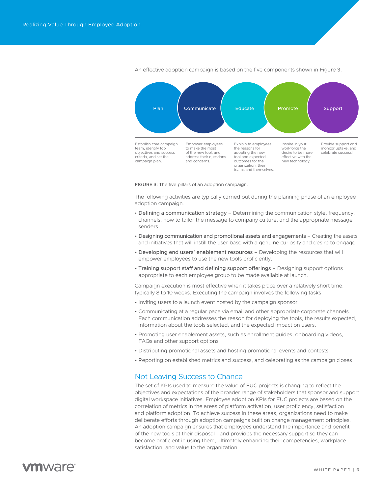<span id="page-6-0"></span>

An effective adoption campaign is based on the five components shown in Figure 3.

FIGURE 3: The five pillars of an adoption campaign.

The following activities are typically carried out during the planning phase of an employee adoption campaign.

- Defining a communication strategy Determining the communication style, frequency, channels, how to tailor the message to company culture, and the appropriate message senders.
- Designing communication and promotional assets and engagements Creating the assets and initiatives that will instill the user base with a genuine curiosity and desire to engage.
- Developing end users' enablement resources Developing the resources that will empower employees to use the new tools proficiently.
- Training support staff and defining support offerings Designing support options appropriate to each employee group to be made available at launch.

Campaign execution is most effective when it takes place over a relatively short time, typically 8 to 10 weeks. Executing the campaign involves the following tasks.

- Inviting users to a launch event hosted by the campaign sponsor
- Communicating at a regular pace via email and other appropriate corporate channels. Each communication addresses the reason for deploying the tools, the results expected, information about the tools selected, and the expected impact on users.
- Promoting user enablement assets, such as enrollment guides, onboarding videos, FAQs and other support options
- Distributing promotional assets and hosting promotional events and contests
- Reporting on established metrics and success, and celebrating as the campaign closes

### Not Leaving Success to Chance

The set of KPIs used to measure the value of EUC projects is changing to reflect the objectives and expectations of the broader range of stakeholders that sponsor and support digital workspace initiatives. Employee adoption KPIs for EUC projects are based on the correlation of metrics in the areas of platform activation, user proficiency, satisfaction and platform adoption. To achieve success in these areas, organizations need to make deliberate efforts through adoption campaigns built on change management principles. An adoption campaign ensures that employees understand the importance and benefit of the new tools at their disposal—and provides the necessary support so they can become proficient in using them, ultimately enhancing their competencies, workplace satisfaction, and value to the organization.

# **m**ware<sup>®</sup>